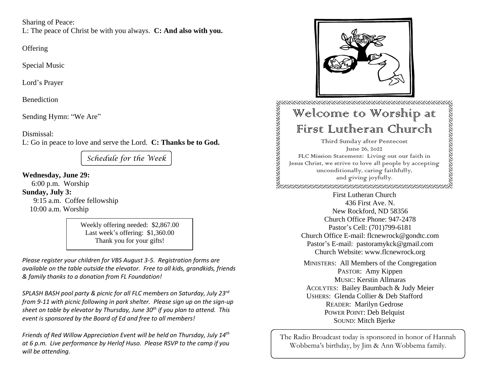Sharing of Peace:

L: The peace of Christ be with you always. **C: And also with you.**

**Offering** 

Special Music

Lord's Prayer

Benediction

Sending Hymn: "We Are"

Dismissal:

L: Go in peace to love and serve the Lord. **C: Thanks be to God.**

*Schedule for the Week*

**Wednesday, June 29:**

6:00 p.m. Worship **Sunday, July 3:** 9:15 a.m. Coffee fellowship 10:00 a.m. Worship

> Weekly offering needed: \$2,867.00 Last week's offering: \$1,360.00 Thank you for your gifts!

*Please register your children for VBS August 3-5. Registration forms are available on the table outside the elevator. Free to all kids, grandkids, friends & family thanks to a donation from FL Foundation!*

*SPLASH BASH pool party & picnic for all FLC members on Saturday, July 23rd from 9-11 with picnic following in park shelter. Please sign up on the sign-up sheet on table by elevator by Thursday, June 30th if you plan to attend. This event is sponsored by the Board of Ed and free to all members!*

*Friends of Red Willow Appreciation Event will be held on Thursday, July 14th at 6 p.m. Live performance by Herlof Huso. Please RSVP to the camp if you will be attending.*



The Radio Broadcast today is sponsored in honor of Hannah Wobbema's birthday, by Jim & Ann Wobbema family.